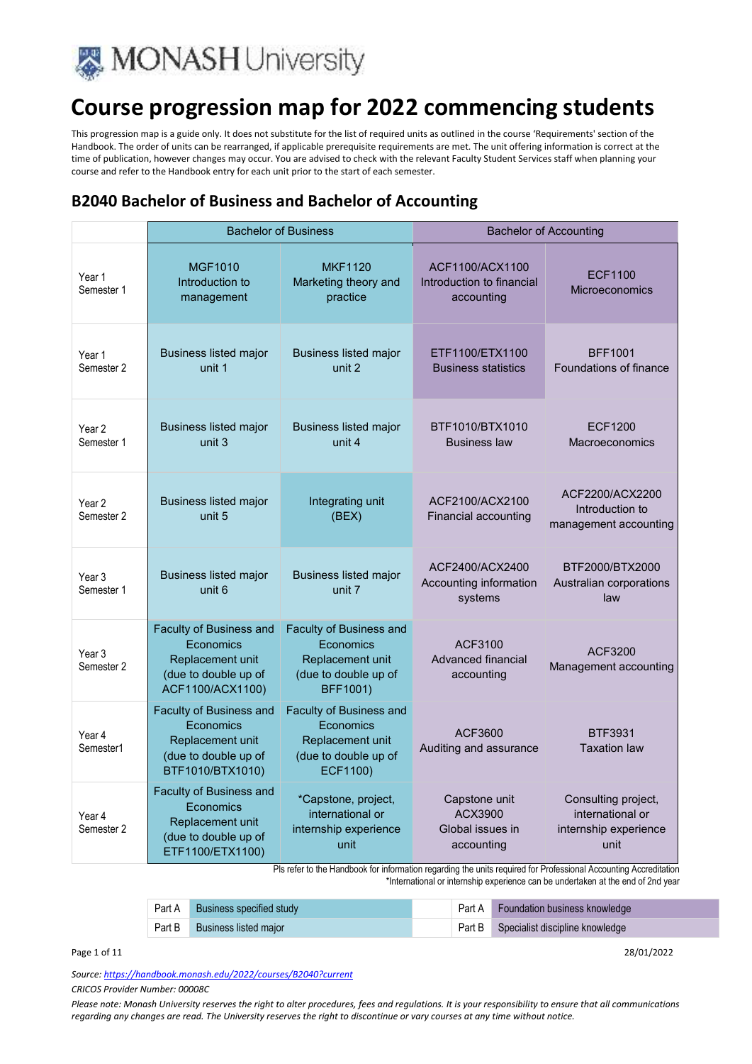

This progression map is a guide only. It does not substitute for the list of required units as outlined in the course 'Requirements' section of the Handbook. The order of units can be rearranged, if applicable prerequisite requirements are met. The unit offering information is correct at the time of publication, however changes may occur. You are advised to check with the relevant Faculty Student Services staff when planning your course and refer to the Handbook entry for each unit prior to the start of each semester.

### **B2040 Bachelor of Business and Bachelor of Accounting**

|                                 | <b>Bachelor of Business</b>                                                                          |                                                                                                     |                                                            | <b>Bachelor of Accounting</b>                                            |
|---------------------------------|------------------------------------------------------------------------------------------------------|-----------------------------------------------------------------------------------------------------|------------------------------------------------------------|--------------------------------------------------------------------------|
| Year 1<br>Semester 1            | <b>MGF1010</b><br>Introduction to<br>management                                                      | <b>MKF1120</b><br>Marketing theory and<br>practice                                                  | ACF1100/ACX1100<br>Introduction to financial<br>accounting | <b>ECF1100</b><br><b>Microeconomics</b>                                  |
| Year 1<br>Semester 2            | <b>Business listed major</b><br>unit 1                                                               | <b>Business listed major</b><br>unit 2                                                              | ETF1100/ETX1100<br><b>Business statistics</b>              | <b>BFF1001</b><br>Foundations of finance                                 |
| Year 2<br>Semester 1            | <b>Business listed major</b><br>unit 3                                                               | <b>Business listed major</b><br>unit 4                                                              | BTF1010/BTX1010<br><b>Business law</b>                     | <b>ECF1200</b><br>Macroeconomics                                         |
| Year <sub>2</sub><br>Semester 2 | <b>Business listed major</b><br>unit 5                                                               | Integrating unit<br>(BEX)                                                                           | ACF2100/ACX2100<br>Financial accounting                    | ACF2200/ACX2200<br>Introduction to<br>management accounting              |
| Year 3<br>Semester 1            | <b>Business listed major</b><br>unit 6                                                               | <b>Business listed major</b><br>unit 7                                                              | ACF2400/ACX2400<br>Accounting information<br>systems       | BTF2000/BTX2000<br>Australian corporations<br>law                        |
| Year 3<br>Semester 2            | Faculty of Business and<br>Economics<br>Replacement unit<br>(due to double up of<br>ACF1100/ACX1100) | Faculty of Business and<br>Economics<br>Replacement unit<br>(due to double up of<br>BFF1001)        | ACF3100<br><b>Advanced financial</b><br>accounting         | ACF3200<br>Management accounting                                         |
| Year 4<br>Semester1             | Faculty of Business and<br>Economics<br>Replacement unit<br>(due to double up of<br>BTF1010/BTX1010) | Faculty of Business and<br>Economics<br>Replacement unit<br>(due to double up of<br><b>ECF1100)</b> | ACF3600<br>Auditing and assurance                          | <b>BTF3931</b><br><b>Taxation law</b>                                    |
| Year 4<br>Semester 2            | Faculty of Business and<br>Economics<br>Replacement unit<br>(due to double up of<br>ETF1100/ETX1100) | *Capstone, project,<br>international or<br>internship experience<br>unit                            | Capstone unit<br>ACX3900<br>Global issues in<br>accounting | Consulting project,<br>international or<br>internship experience<br>unit |

Pls refer to the Handbook for information regarding the units required for Professional Accounting Accreditation \*International or internship experience can be undertaken at the end of 2nd year

| Part A | Business specified study | Part A Foundation business knowledge   |
|--------|--------------------------|----------------------------------------|
| Part B | Business listed major    | Part B Specialist discipline knowledge |

*Source: https://handbook.monash.edu/2022/courses/B2040?current*

*CRICOS Provider Number: 00008C* 

*Please note: Monash University reserves the right to alter procedures, fees and regulations. It is your responsibility to ensure that all communications regarding any changes are read. The University reserves the right to discontinue or vary courses at any time without notice.*

Page 1 of 11 28/01/2022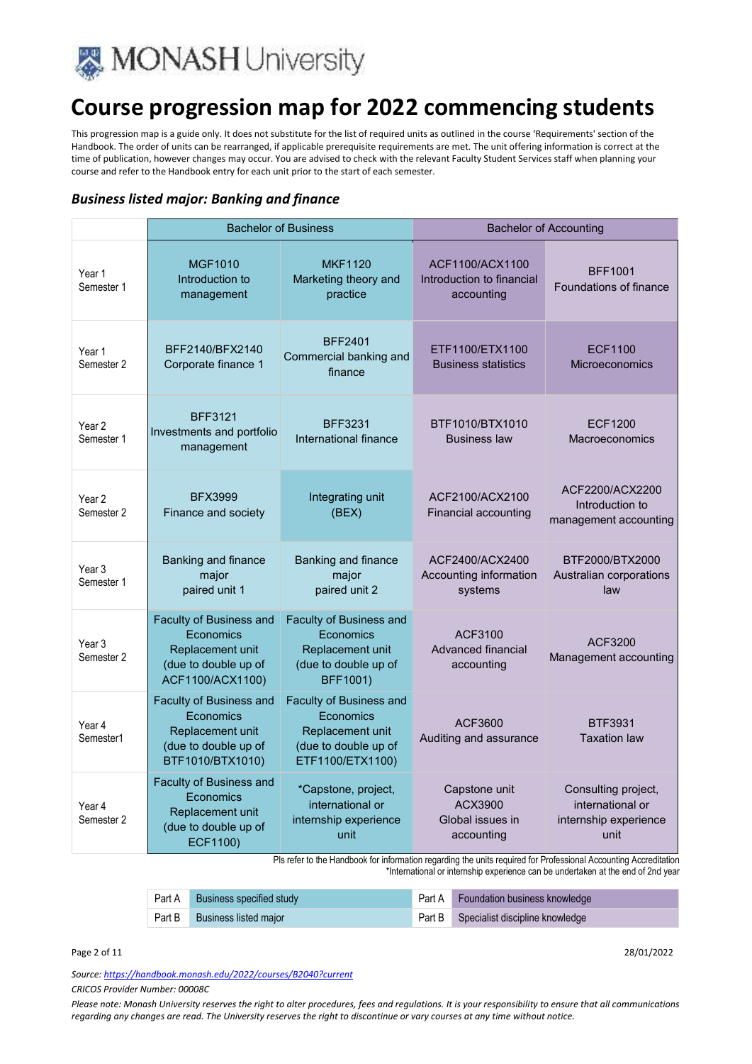

This progression map is a guide only. It does not substitute for the list of required units as outlined in the course 'Requirements' section of the Handbook. The order of units can be rearranged, if applicable prerequisite requirements are met. The unit offering information is correct at the time of publication, however changes may occur. You are advised to check with the relevant Faculty Student Services staff when planning your course and refer to the Handbook entry for each unit prior to the start of each semester.

#### *Business listed major: Banking and finance*

|                                 |                                                                                                      | <b>Bachelor of Business</b>                                                                                 |                                                            | <b>Bachelor of Accounting</b>                                            |
|---------------------------------|------------------------------------------------------------------------------------------------------|-------------------------------------------------------------------------------------------------------------|------------------------------------------------------------|--------------------------------------------------------------------------|
| Year 1<br>Semester 1            | <b>MGF1010</b><br>Introduction to<br>management                                                      | <b>MKF1120</b><br>Marketing theory and<br>practice                                                          | ACF1100/ACX1100<br>Introduction to financial<br>accounting | <b>BFF1001</b><br>Foundations of finance                                 |
| Year 1<br>Semester 2            | BFF2140/BFX2140<br>Corporate finance 1                                                               | <b>BFF2401</b><br>Commercial banking and<br>finance                                                         | ETF1100/ETX1100<br><b>Business statistics</b>              | <b>ECF1100</b><br><b>Microeconomics</b>                                  |
| Year 2<br>Semester 1            | <b>BFF3121</b><br>Investments and portfolio<br>management                                            | <b>BFF3231</b><br>International finance                                                                     | BTF1010/BTX1010<br><b>Business law</b>                     | <b>ECF1200</b><br>Macroeconomics                                         |
| Year 2<br>Semester 2            | <b>BFX3999</b><br>Finance and society                                                                | Integrating unit<br>(BEX)                                                                                   | ACF2100/ACX2100<br>Financial accounting                    | ACF2200/ACX2200<br>Introduction to<br>management accounting              |
| Year <sub>3</sub><br>Semester 1 | Banking and finance<br>major<br>paired unit 1                                                        | Banking and finance<br>major<br>paired unit 2                                                               | ACF2400/ACX2400<br>Accounting information<br>systems       | BTF2000/BTX2000<br>Australian corporations<br>law                        |
| Year <sub>3</sub><br>Semester 2 | Faculty of Business and<br>Economics<br>Replacement unit<br>(due to double up of<br>ACF1100/ACX1100) | <b>Faculty of Business and</b><br>Economics<br>Replacement unit<br>(due to double up of<br>BFF1001)         | ACF3100<br>Advanced financial<br>accounting                | ACF3200<br>Management accounting                                         |
| Year 4<br>Semester1             | Faculty of Business and<br>Economics<br>Replacement unit<br>(due to double up of<br>BTF1010/BTX1010) | <b>Faculty of Business and</b><br>Economics<br>Replacement unit<br>(due to double up of<br>ETF1100/ETX1100) | ACF3600<br>Auditing and assurance                          | <b>BTF3931</b><br><b>Taxation law</b>                                    |
| Year 4<br>Semester 2            | Faculty of Business and<br>Economics<br>Replacement unit<br>(due to double up of<br>ECF1100)         | *Capstone, project,<br>international or<br>internship experience<br>unit                                    | Capstone unit<br>ACX3900<br>Global issues in<br>accounting | Consulting project,<br>international or<br>internship experience<br>unit |

Pls refer to the Handbook for information regarding the units required for Professional Accounting Accreditation

\*International or internship experience can be undertaken at the end of 2nd year

|        | Part A Business specified study | Part A Foundation business knowledge   |
|--------|---------------------------------|----------------------------------------|
| Part B | <b>Business listed major</b>    | Part B Specialist discipline knowledge |

Page 2 of 11 28/01/2022

*Source: https://handbook.monash.edu/2022/courses/B2040?current*

*CRICOS Provider Number: 00008C*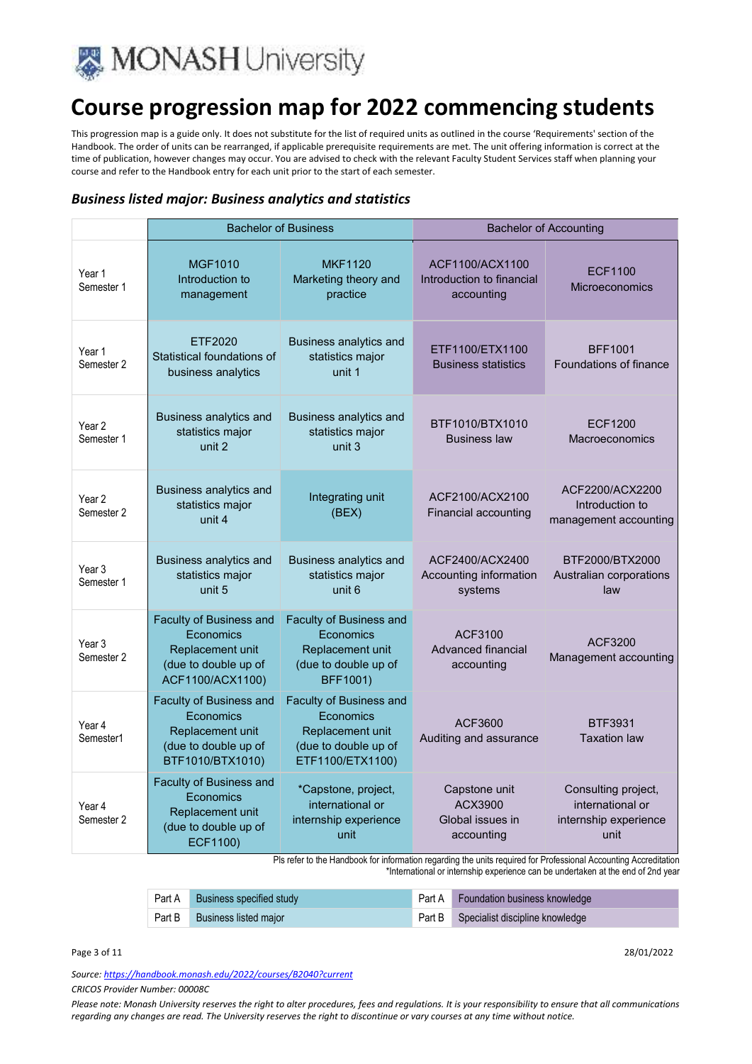

This progression map is a guide only. It does not substitute for the list of required units as outlined in the course 'Requirements' section of the Handbook. The order of units can be rearranged, if applicable prerequisite requirements are met. The unit offering information is correct at the time of publication, however changes may occur. You are advised to check with the relevant Faculty Student Services staff when planning your course and refer to the Handbook entry for each unit prior to the start of each semester.

#### *Business listed major: Business analytics and statistics*

|                                 | <b>Bachelor of Business</b>                                                                                        |                                                                                                             |                                                            | <b>Bachelor of Accounting</b>                                            |
|---------------------------------|--------------------------------------------------------------------------------------------------------------------|-------------------------------------------------------------------------------------------------------------|------------------------------------------------------------|--------------------------------------------------------------------------|
| Year 1<br>Semester 1            | <b>MGF1010</b><br>Introduction to<br>management                                                                    | <b>MKF1120</b><br>Marketing theory and<br>practice                                                          | ACF1100/ACX1100<br>Introduction to financial<br>accounting | <b>ECF1100</b><br><b>Microeconomics</b>                                  |
| Year 1<br>Semester 2            | ETF2020<br>Statistical foundations of<br>business analytics                                                        | <b>Business analytics and</b><br>statistics major<br>unit 1                                                 | ETF1100/ETX1100<br><b>Business statistics</b>              | <b>BFF1001</b><br><b>Foundations of finance</b>                          |
| Year <sub>2</sub><br>Semester 1 | <b>Business analytics and</b><br>statistics major<br>unit 2                                                        | <b>Business analytics and</b><br>statistics major<br>unit 3                                                 | BTF1010/BTX1010<br><b>Business law</b>                     | <b>ECF1200</b><br>Macroeconomics                                         |
| Year 2<br>Semester 2            | Business analytics and<br>statistics major<br>unit 4                                                               | Integrating unit<br>(BEX)                                                                                   | ACF2100/ACX2100<br>Financial accounting                    | ACF2200/ACX2200<br>Introduction to<br>management accounting              |
| Year <sub>3</sub><br>Semester 1 | <b>Business analytics and</b><br>statistics major<br>unit 5                                                        | Business analytics and<br>statistics major<br>unit 6                                                        | ACF2400/ACX2400<br>Accounting information<br>systems       | BTF2000/BTX2000<br>Australian corporations<br>law                        |
| Year <sub>3</sub><br>Semester 2 | <b>Faculty of Business and</b><br><b>Economics</b><br>Replacement unit<br>(due to double up of<br>ACF1100/ACX1100) | <b>Faculty of Business and</b><br>Fconomics<br>Replacement unit<br>(due to double up of<br>BFF1001)         | ACF3100<br>Advanced financial<br>accounting                | ACF3200<br>Management accounting                                         |
| Year 4<br>Semester1             | Faculty of Business and<br>Economics<br>Replacement unit<br>(due to double up of<br>BTF1010/BTX1010)               | <b>Faculty of Business and</b><br>Economics<br>Replacement unit<br>(due to double up of<br>ETF1100/ETX1100) | ACF3600<br>Auditing and assurance                          | <b>BTF3931</b><br><b>Taxation law</b>                                    |
| Year 4<br>Semester 2            | Faculty of Business and<br>Economics<br>Replacement unit<br>(due to double up of<br>ECF1100)                       | *Capstone, project,<br>international or<br>internship experience<br>unit                                    | Capstone unit<br>ACX3900<br>Global issues in<br>accounting | Consulting project,<br>international or<br>internship experience<br>unit |

Pls refer to the Handbook for information regarding the units required for Professional Accounting Accreditation

\*International or internship experience can be undertaken at the end of 2nd year

| Part A | Business specified study | Part A Foundation business knowledge   |
|--------|--------------------------|----------------------------------------|
| Part B | Business listed major    | Part B Specialist discipline knowledge |

Page 3 of 11 28/01/2022

*Source: https://handbook.monash.edu/2022/courses/B2040?current*

*CRICOS Provider Number: 00008C*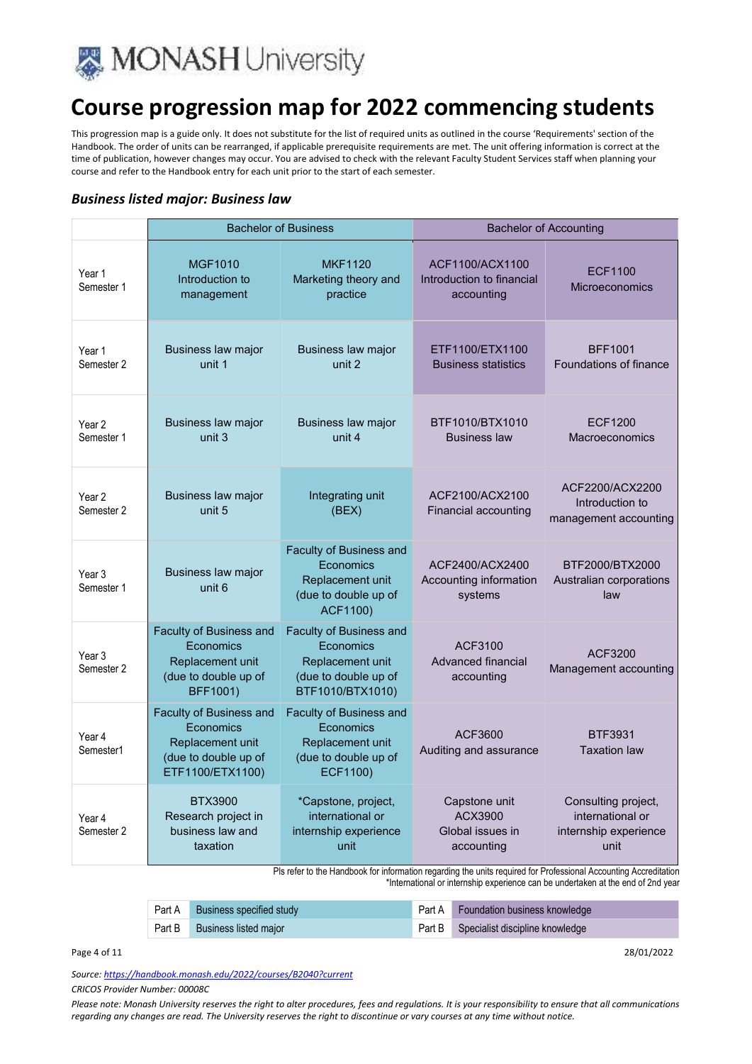

This progression map is a guide only. It does not substitute for the list of required units as outlined in the course 'Requirements' section of the Handbook. The order of units can be rearranged, if applicable prerequisite requirements are met. The unit offering information is correct at the time of publication, however changes may occur. You are advised to check with the relevant Faculty Student Services staff when planning your course and refer to the Handbook entry for each unit prior to the start of each semester.

#### *Business listed major: Business law*

|                                 |                                                                                                      | <b>Bachelor of Business</b>                                                                                |                                                            | <b>Bachelor of Accounting</b>                                            |
|---------------------------------|------------------------------------------------------------------------------------------------------|------------------------------------------------------------------------------------------------------------|------------------------------------------------------------|--------------------------------------------------------------------------|
| Year 1<br>Semester 1            | <b>MGF1010</b><br>Introduction to<br>management                                                      | <b>MKF1120</b><br>Marketing theory and<br>practice                                                         | ACF1100/ACX1100<br>Introduction to financial<br>accounting | <b>ECF1100</b><br>Microeconomics                                         |
| Year 1<br>Semester 2            | Business law major<br>unit 1                                                                         | Business law major<br>unit 2                                                                               | ETF1100/ETX1100<br><b>Business statistics</b>              | <b>BFF1001</b><br>Foundations of finance                                 |
| Year 2<br>Semester 1            | Business law major<br>unit 3                                                                         | Business law major<br>unit 4                                                                               | BTF1010/BTX1010<br><b>Business law</b>                     | <b>ECF1200</b><br>Macroeconomics                                         |
| Year <sub>2</sub><br>Semester 2 | Business law major<br>unit 5                                                                         | Integrating unit<br>(BEX)                                                                                  | ACF2100/ACX2100<br>Financial accounting                    | ACF2200/ACX2200<br>Introduction to<br>management accounting              |
| Year 3<br>Semester 1            | Business law major<br>unit 6                                                                         | <b>Faculty of Business and</b><br>Economics<br>Replacement unit<br>(due to double up of<br><b>ACF1100)</b> | ACF2400/ACX2400<br>Accounting information<br>systems       | BTF2000/BTX2000<br>Australian corporations<br>law                        |
| Year 3<br>Semester 2            | Faculty of Business and<br>Economics<br>Replacement unit<br>(due to double up of<br>BFF1001)         | Faculty of Business and<br>Fconomics<br>Replacement unit<br>(due to double up of<br>BTF1010/BTX1010)       | ACF3100<br>Advanced financial<br>accounting                | ACF3200<br>Management accounting                                         |
| Year 4<br>Semester1             | Faculty of Business and<br>Economics<br>Replacement unit<br>(due to double up of<br>ETF1100/ETX1100) | Faculty of Business and<br>Economics<br>Replacement unit<br>(due to double up of<br>ECF1100)               | ACF3600<br>Auditing and assurance                          | BTF3931<br><b>Taxation law</b>                                           |
| Year 4<br>Semester 2            | BTX3900<br>Research project in<br>business law and<br>taxation                                       | *Capstone, project,<br>international or<br>internship experience<br>unit                                   | Capstone unit<br>ACX3900<br>Global issues in<br>accounting | Consulting project,<br>international or<br>internship experience<br>unit |

Pls refer to the Handbook for information regarding the units required for Professional Accounting Accreditation \*International or internship experience can be undertaken at the end of 2nd year

| Part A | Business specified study | Part A Foundation business knowledge   |
|--------|--------------------------|----------------------------------------|
| Part B | Business listed major    | Part B Specialist discipline knowledge |

Page 4 of 11 28/01/2022

*Source: https://handbook.monash.edu/2022/courses/B2040?current*

*CRICOS Provider Number: 00008C*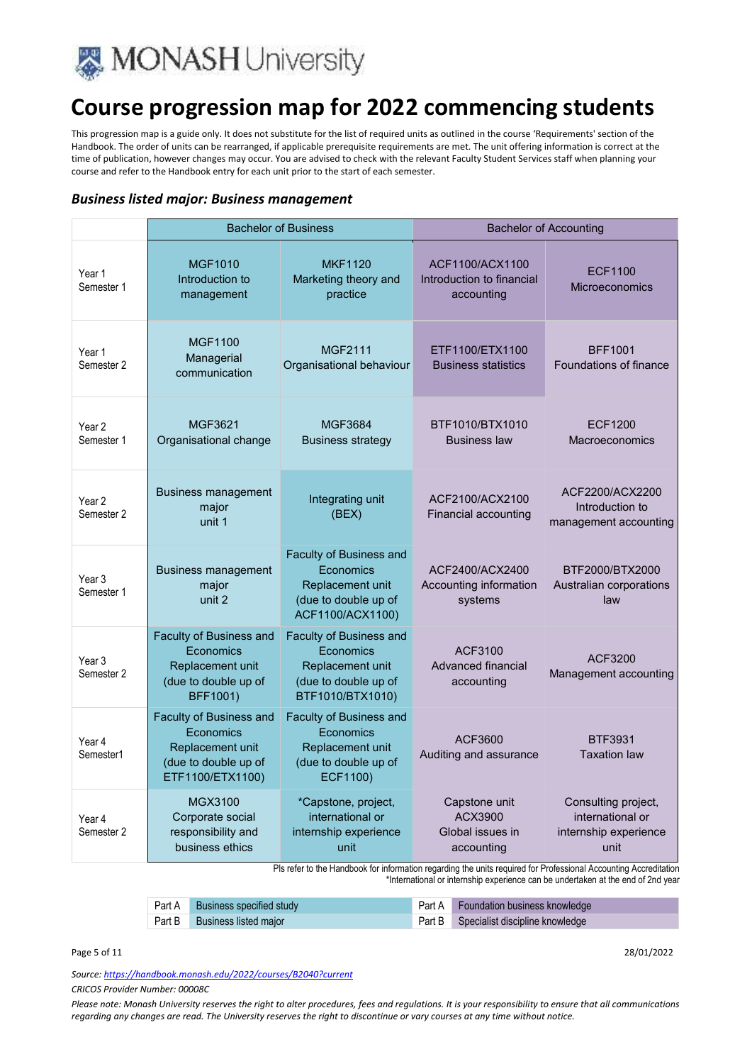

This progression map is a guide only. It does not substitute for the list of required units as outlined in the course 'Requirements' section of the Handbook. The order of units can be rearranged, if applicable prerequisite requirements are met. The unit offering information is correct at the time of publication, however changes may occur. You are advised to check with the relevant Faculty Student Services staff when planning your course and refer to the Handbook entry for each unit prior to the start of each semester.

#### *Business listed major: Business management*

|                                 |                                                                                                             | <b>Bachelor of Business</b>                                                                                 |                                                            | <b>Bachelor of Accounting</b>                                            |
|---------------------------------|-------------------------------------------------------------------------------------------------------------|-------------------------------------------------------------------------------------------------------------|------------------------------------------------------------|--------------------------------------------------------------------------|
| Year 1<br>Semester 1            | <b>MGF1010</b><br>Introduction to<br>management                                                             | <b>MKF1120</b><br>Marketing theory and<br>practice                                                          | ACF1100/ACX1100<br>Introduction to financial<br>accounting | <b>ECF1100</b><br>Microeconomics                                         |
| Year 1<br>Semester 2            | <b>MGF1100</b><br>Managerial<br>communication                                                               | <b>MGF2111</b><br>Organisational behaviour                                                                  | ETF1100/ETX1100<br><b>Business statistics</b>              | <b>BFF1001</b><br><b>Foundations of finance</b>                          |
| Year <sub>2</sub><br>Semester 1 | MGF3621<br>Organisational change                                                                            | MGF3684<br><b>Business strategy</b>                                                                         | BTF1010/BTX1010<br><b>Business law</b>                     | <b>ECF1200</b><br><b>Macroeconomics</b>                                  |
| Year 2<br>Semester 2            | <b>Business management</b><br>major<br>unit 1                                                               | Integrating unit<br>(BEX)                                                                                   | ACF2100/ACX2100<br>Financial accounting                    | ACF2200/ACX2200<br>Introduction to<br>management accounting              |
| Year <sub>3</sub><br>Semester 1 | <b>Business management</b><br>major<br>unit 2                                                               | Faculty of Business and<br>Economics<br>Replacement unit<br>(due to double up of<br>ACF1100/ACX1100)        | ACF2400/ACX2400<br>Accounting information<br>systems       | BTF2000/BTX2000<br>Australian corporations<br>law                        |
| Year 3<br>Semester 2            | <b>Faculty of Business and</b><br>Economics<br>Replacement unit<br>(due to double up of<br>BFF1001)         | <b>Faculty of Business and</b><br>Economics<br>Replacement unit<br>(due to double up of<br>BTF1010/BTX1010) | ACF3100<br><b>Advanced financial</b><br>accounting         | ACF3200<br>Management accounting                                         |
| Year 4<br>Semester1             | <b>Faculty of Business and</b><br>Economics<br>Replacement unit<br>(due to double up of<br>ETF1100/ETX1100) | Faculty of Business and<br>Economics<br>Replacement unit<br>(due to double up of<br>ECF1100)                | ACF3600<br>Auditing and assurance                          | <b>BTF3931</b><br><b>Taxation law</b>                                    |
| Year 4<br>Semester 2            | MGX3100<br>Corporate social<br>responsibility and<br>business ethics                                        | *Capstone, project,<br>international or<br>internship experience<br>unit                                    | Capstone unit<br>ACX3900<br>Global issues in<br>accounting | Consulting project,<br>international or<br>internship experience<br>unit |

Pls refer to the Handbook for information regarding the units required for Professional Accounting Accreditation \*International or internship experience can be undertaken at the end of 2nd year

| Part A Business specified study | Part A Foundation business knowledge   |
|---------------------------------|----------------------------------------|
| Part B Business listed major    | Part B Specialist discipline knowledge |

Page 5 of 11 28/01/2022

*Source: https://handbook.monash.edu/2022/courses/B2040?current*

*CRICOS Provider Number: 00008C*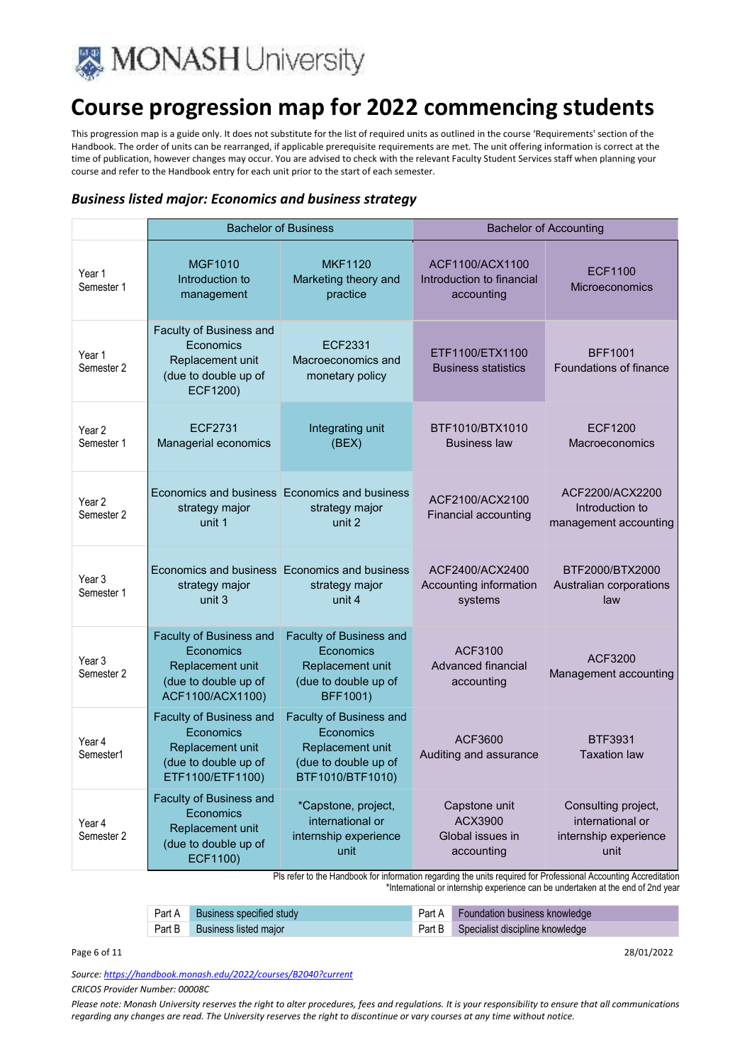

This progression map is a guide only. It does not substitute for the list of required units as outlined in the course 'Requirements' section of the Handbook. The order of units can be rearranged, if applicable prerequisite requirements are met. The unit offering information is correct at the time of publication, however changes may occur. You are advised to check with the relevant Faculty Student Services staff when planning your course and refer to the Handbook entry for each unit prior to the start of each semester.

#### *Business listed major: Economics and business strategy*

|                                 |                                                                                                      | <b>Bachelor of Business</b>                                                                                 |                                                            | <b>Bachelor of Accounting</b>                                            |
|---------------------------------|------------------------------------------------------------------------------------------------------|-------------------------------------------------------------------------------------------------------------|------------------------------------------------------------|--------------------------------------------------------------------------|
| Year 1<br>Semester 1            | <b>MGF1010</b><br>Introduction to<br>management                                                      | <b>MKF1120</b><br>Marketing theory and<br>practice                                                          | ACF1100/ACX1100<br>Introduction to financial<br>accounting | <b>ECF1100</b><br>Microeconomics                                         |
| Year 1<br>Semester 2            | Faculty of Business and<br>Economics<br>Replacement unit<br>(due to double up of<br>ECF1200)         | ECF2331<br>Macroeconomics and<br>monetary policy                                                            | ETF1100/ETX1100<br><b>Business statistics</b>              | <b>BFF1001</b><br><b>Foundations of finance</b>                          |
| Year <sub>2</sub><br>Semester 1 | ECF2731<br>Managerial economics                                                                      | Integrating unit<br>(BEX)                                                                                   | BTF1010/BTX1010<br><b>Business law</b>                     | <b>ECF1200</b><br>Macroeconomics                                         |
| Year <sub>2</sub><br>Semester 2 | strategy major<br>unit 1                                                                             | Economics and business Economics and business<br>strategy major<br>unit 2                                   | ACF2100/ACX2100<br>Financial accounting                    | ACF2200/ACX2200<br>Introduction to<br>management accounting              |
| Year 3<br>Semester 1            | strategy major<br>unit 3                                                                             | Economics and business Economics and business<br>strategy major<br>unit 4                                   | ACF2400/ACX2400<br>Accounting information<br>systems       | BTF2000/BTX2000<br>Australian corporations<br>law                        |
| Year 3<br>Semester 2            | Faculty of Business and<br>Economics<br>Replacement unit<br>(due to double up of<br>ACF1100/ACX1100) | Faculty of Business and<br>Economics<br>Replacement unit<br>(due to double up of<br>BFF1001)                | ACF3100<br>Advanced financial<br>accounting                | ACF3200<br>Management accounting                                         |
| Year 4<br>Semester1             | Faculty of Business and<br>Economics<br>Replacement unit<br>(due to double up of<br>ETF1100/ETF1100) | <b>Faculty of Business and</b><br>Economics<br>Replacement unit<br>(due to double up of<br>BTF1010/BTF1010) | ACF3600<br>Auditing and assurance                          | BTF3931<br><b>Taxation law</b>                                           |
| Year 4<br>Semester 2            | Faculty of Business and<br>Economics<br>Replacement unit<br>(due to double up of<br>ECF1100)         | *Capstone, project,<br>international or<br>internship experience<br>unit                                    | Capstone unit<br>ACX3900<br>Global issues in<br>accounting | Consulting project,<br>international or<br>internship experience<br>unit |

Pls refer to the Handbook for information regarding the units required for Professional Accounting Accreditation \*International or internship experience can be undertaken at the end of 2nd year

| <b>Part A</b> Business specified study | Part A Foundation business knowledge   |
|----------------------------------------|----------------------------------------|
| <b>Part B</b> Business listed major    | Part B Specialist discipline knowledge |

Page 6 of 11 28/01/2022

*Source: https://handbook.monash.edu/2022/courses/B2040?current*

*CRICOS Provider Number: 00008C*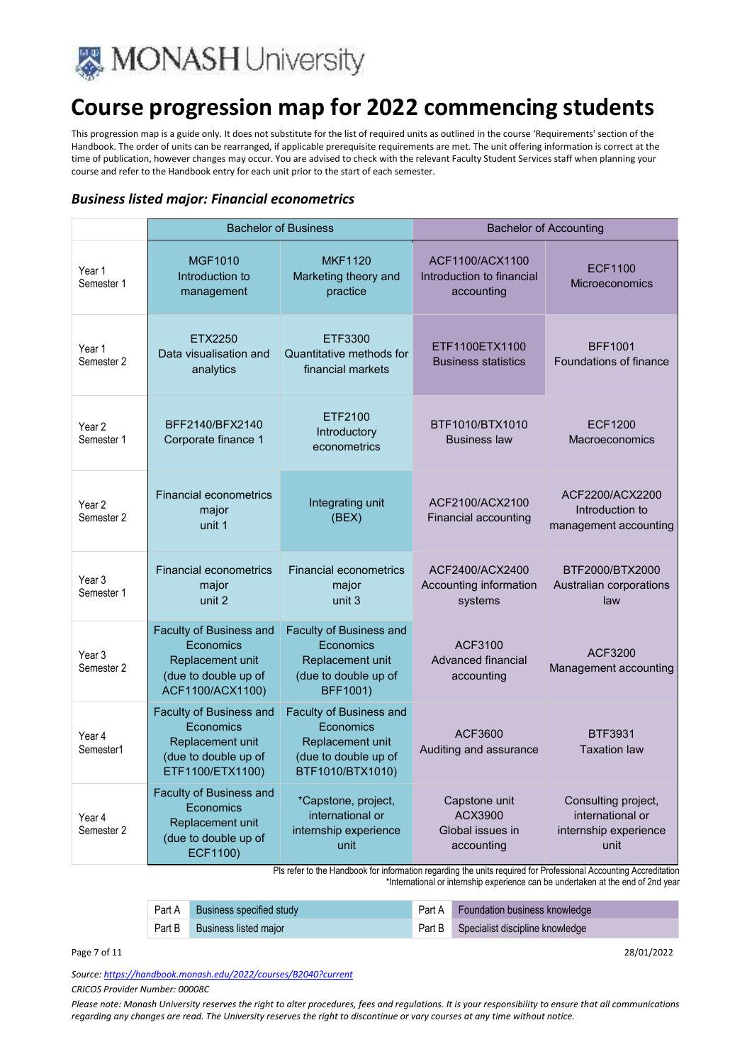

This progression map is a guide only. It does not substitute for the list of required units as outlined in the course 'Requirements' section of the Handbook. The order of units can be rearranged, if applicable prerequisite requirements are met. The unit offering information is correct at the time of publication, however changes may occur. You are advised to check with the relevant Faculty Student Services staff when planning your course and refer to the Handbook entry for each unit prior to the start of each semester.

#### *Business listed major: Financial econometrics*

|                                 | <b>Bachelor of Business</b>                                                                          |                                                                                                             |                                                            | <b>Bachelor of Accounting</b>                                            |
|---------------------------------|------------------------------------------------------------------------------------------------------|-------------------------------------------------------------------------------------------------------------|------------------------------------------------------------|--------------------------------------------------------------------------|
| Year 1<br>Semester 1            | <b>MGF1010</b><br>Introduction to<br>management                                                      | <b>MKF1120</b><br>Marketing theory and<br>practice                                                          | ACF1100/ACX1100<br>Introduction to financial<br>accounting | <b>ECF1100</b><br><b>Microeconomics</b>                                  |
| Year 1<br>Semester 2            | ETX2250<br>Data visualisation and<br>analytics                                                       | ETF3300<br>Quantitative methods for<br>financial markets                                                    | ETF1100ETX1100<br><b>Business statistics</b>               | <b>BFF1001</b><br>Foundations of finance                                 |
| Year <sub>2</sub><br>Semester 1 | BFF2140/BFX2140<br>Corporate finance 1                                                               | ETF2100<br>Introductory<br>econometrics                                                                     | BTF1010/BTX1010<br><b>Business law</b>                     | <b>ECF1200</b><br>Macroeconomics                                         |
| Year 2<br>Semester 2            | <b>Financial econometrics</b><br>major<br>unit 1                                                     | Integrating unit<br>(BEX)                                                                                   | ACF2100/ACX2100<br>Financial accounting                    | ACF2200/ACX2200<br>Introduction to<br>management accounting              |
| Year <sub>3</sub><br>Semester 1 | <b>Financial econometrics</b><br>major<br>unit 2                                                     | <b>Financial econometrics</b><br>major<br>unit 3                                                            | ACF2400/ACX2400<br>Accounting information<br>systems       | BTF2000/BTX2000<br>Australian corporations<br>law                        |
| Year <sub>3</sub><br>Semester 2 | Faculty of Business and<br>Economics<br>Replacement unit<br>(due to double up of<br>ACF1100/ACX1100) | <b>Faculty of Business and</b><br>Economics<br>Replacement unit<br>(due to double up of<br>BFF1001)         | ACF3100<br>Advanced financial<br>accounting                | ACF3200<br>Management accounting                                         |
| Year 4<br>Semester1             | Faculty of Business and<br>Economics<br>Replacement unit<br>(due to double up of<br>ETF1100/ETX1100) | <b>Faculty of Business and</b><br>Economics<br>Replacement unit<br>(due to double up of<br>BTF1010/BTX1010) | ACF3600<br>Auditing and assurance                          | <b>BTF3931</b><br><b>Taxation law</b>                                    |
| Year 4<br>Semester 2            | Faculty of Business and<br>Economics<br>Replacement unit<br>(due to double up of<br>ECF1100)         | *Capstone, project,<br>international or<br>internship experience<br>unit                                    | Capstone unit<br>ACX3900<br>Global issues in<br>accounting | Consulting project,<br>international or<br>internship experience<br>unit |

Pls refer to the Handbook for information regarding the units required for Professional Accounting Accreditation \*International or internship experience can be undertaken at the end of 2nd year

| <b>Part A</b> Business specified study | <b>Part A</b> Foundation business knowledge |
|----------------------------------------|---------------------------------------------|
| <b>Part B</b> Business listed major    | Part B Specialist discipline knowledge      |

Page 7 of 11 28/01/2022

*Source: https://handbook.monash.edu/2022/courses/B2040?current*

*CRICOS Provider Number: 00008C*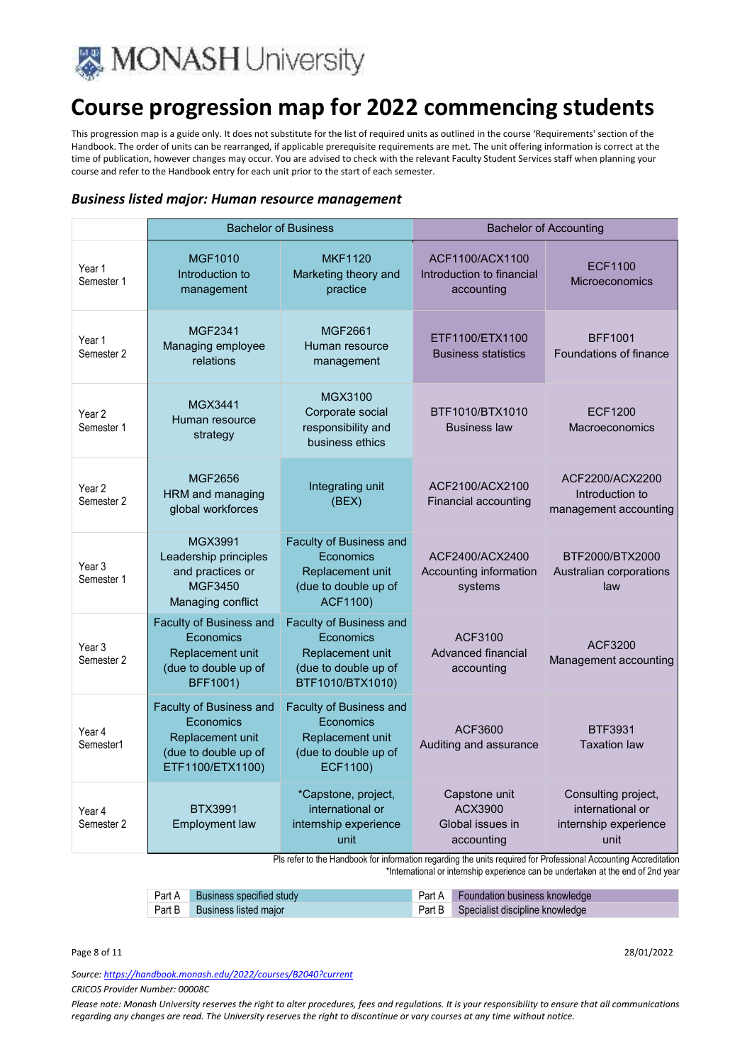

This progression map is a guide only. It does not substitute for the list of required units as outlined in the course 'Requirements' section of the Handbook. The order of units can be rearranged, if applicable prerequisite requirements are met. The unit offering information is correct at the time of publication, however changes may occur. You are advised to check with the relevant Faculty Student Services staff when planning your course and refer to the Handbook entry for each unit prior to the start of each semester.

#### *Business listed major: Human resource management*

|                                 |                                                                                                      | <b>Bachelor of Business</b>                                                                                 |                                                            | <b>Bachelor of Accounting</b>                                            |
|---------------------------------|------------------------------------------------------------------------------------------------------|-------------------------------------------------------------------------------------------------------------|------------------------------------------------------------|--------------------------------------------------------------------------|
| Year 1<br>Semester 1            | <b>MGF1010</b><br>Introduction to<br>management                                                      | <b>MKF1120</b><br>Marketing theory and<br>practice                                                          | ACF1100/ACX1100<br>Introduction to financial<br>accounting | <b>ECF1100</b><br><b>Microeconomics</b>                                  |
| Year 1<br>Semester 2            | MGF2341<br>Managing employee<br>relations                                                            | MGF2661<br>Human resource<br>management                                                                     | ETF1100/ETX1100<br><b>Business statistics</b>              | <b>BFF1001</b><br>Foundations of finance                                 |
| Year 2<br>Semester 1            | <b>MGX3441</b><br>Human resource<br>strategy                                                         | MGX3100<br>Corporate social<br>responsibility and<br>business ethics                                        | BTF1010/BTX1010<br><b>Business law</b>                     | <b>ECF1200</b><br>Macroeconomics                                         |
| Year 2<br>Semester 2            | MGF2656<br>HRM and managing<br>global workforces                                                     | Integrating unit<br>(BEX)                                                                                   | ACF2100/ACX2100<br>Financial accounting                    | ACF2200/ACX2200<br>Introduction to<br>management accounting              |
| Year 3<br>Semester 1            | MGX3991<br>Leadership principles<br>and practices or<br>MGF3450<br>Managing conflict                 | <b>Faculty of Business and</b><br>Economics<br>Replacement unit<br>(due to double up of<br>ACF1100)         | ACF2400/ACX2400<br>Accounting information<br>systems       | BTF2000/BTX2000<br>Australian corporations<br>law                        |
| Year <sub>3</sub><br>Semester 2 | Faculty of Business and<br>Economics<br>Replacement unit<br>(due to double up of<br>BFF1001)         | <b>Faculty of Business and</b><br>Economics<br>Replacement unit<br>(due to double up of<br>BTF1010/BTX1010) | ACF3100<br>Advanced financial<br>accounting                | ACF3200<br>Management accounting                                         |
| Year 4<br>Semester1             | Faculty of Business and<br>Economics<br>Replacement unit<br>(due to double up of<br>ETF1100/ETX1100) | Faculty of Business and<br>Economics<br>Replacement unit<br>(due to double up of<br>ECF1100)                | ACF3600<br>Auditing and assurance                          | <b>BTF3931</b><br><b>Taxation law</b>                                    |
| Year 4<br>Semester 2            | <b>BTX3991</b><br><b>Employment law</b>                                                              | *Capstone, project,<br>international or<br>internship experience<br>unit                                    | Capstone unit<br>ACX3900<br>Global issues in<br>accounting | Consulting project,<br>international or<br>internship experience<br>unit |

Pls refer to the Handbook for information regarding the units required for Professional Accounting Accreditation \*International or internship experience can be undertaken at the end of 2nd year

| Part A Business specified study | <b>Part A</b> Foundation business knowledge |
|---------------------------------|---------------------------------------------|
| Part B Business listed major    | Part B Specialist discipline knowledge      |

#### Page 8 of 11 28/01/2022

*Source: https://handbook.monash.edu/2022/courses/B2040?current*

*CRICOS Provider Number: 00008C*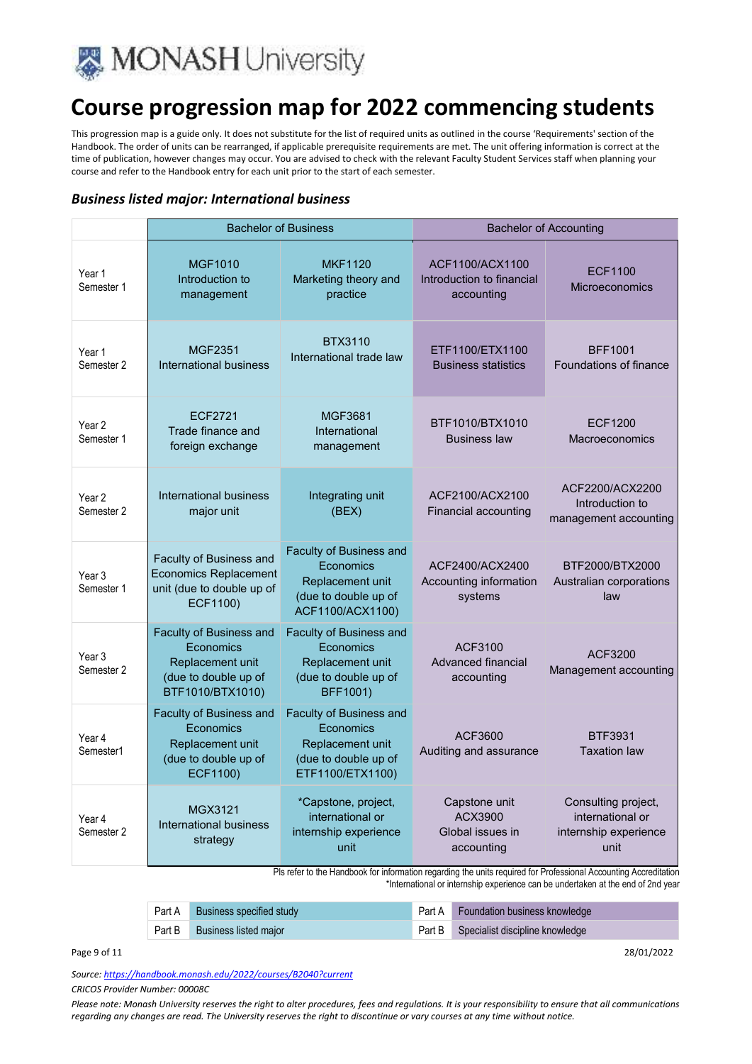

This progression map is a guide only. It does not substitute for the list of required units as outlined in the course 'Requirements' section of the Handbook. The order of units can be rearranged, if applicable prerequisite requirements are met. The unit offering information is correct at the time of publication, however changes may occur. You are advised to check with the relevant Faculty Student Services staff when planning your course and refer to the Handbook entry for each unit prior to the start of each semester.

#### *Business listed major: International business*

|                                 |                                                                                                      | <b>Bachelor of Business</b>                                                                                 |                                                            | <b>Bachelor of Accounting</b>                                            |
|---------------------------------|------------------------------------------------------------------------------------------------------|-------------------------------------------------------------------------------------------------------------|------------------------------------------------------------|--------------------------------------------------------------------------|
| Year 1<br>Semester 1            | <b>MGF1010</b><br>Introduction to<br>management                                                      | <b>MKF1120</b><br>Marketing theory and<br>practice                                                          | ACF1100/ACX1100<br>Introduction to financial<br>accounting | ECF1100<br>Microeconomics                                                |
| Year 1<br>Semester 2            | MGF2351<br>International business                                                                    | <b>BTX3110</b><br>International trade law                                                                   | ETF1100/ETX1100<br><b>Business statistics</b>              | <b>BFF1001</b><br><b>Foundations of finance</b>                          |
| Year 2<br>Semester 1            | ECF2721<br>Trade finance and<br>foreign exchange                                                     | MGF3681<br>International<br>management                                                                      | BTF1010/BTX1010<br><b>Business law</b>                     | ECF1200<br>Macroeconomics                                                |
| Year <sub>2</sub><br>Semester 2 | International business<br>major unit                                                                 | Integrating unit<br>(BEX)                                                                                   | ACF2100/ACX2100<br>Financial accounting                    | ACF2200/ACX2200<br>Introduction to<br>management accounting              |
| Year 3<br>Semester 1            | Faculty of Business and<br><b>Economics Replacement</b><br>unit (due to double up of<br>ECF1100)     | Faculty of Business and<br>Economics<br>Replacement unit<br>(due to double up of<br>ACF1100/ACX1100)        | ACF2400/ACX2400<br>Accounting information<br>systems       | BTF2000/BTX2000<br>Australian corporations<br>law                        |
| Year <sub>3</sub><br>Semester 2 | Faculty of Business and<br>Economics<br>Replacement unit<br>(due to double up of<br>BTF1010/BTX1010) | <b>Faculty of Business and</b><br>Economics<br>Replacement unit<br>(due to double up of<br>BFF1001)         | ACF3100<br>Advanced financial<br>accounting                | ACF3200<br>Management accounting                                         |
| Year 4<br>Semester1             | Faculty of Business and<br>Economics<br>Replacement unit<br>(due to double up of<br>ECF1100)         | <b>Faculty of Business and</b><br>Economics<br>Replacement unit<br>(due to double up of<br>ETF1100/ETX1100) | ACF3600<br>Auditing and assurance                          | BTF3931<br><b>Taxation law</b>                                           |
| Year 4<br>Semester 2            | MGX3121<br>International business<br>strategy                                                        | *Capstone, project,<br>international or<br>internship experience<br>unit                                    | Capstone unit<br>ACX3900<br>Global issues in<br>accounting | Consulting project,<br>international or<br>internship experience<br>unit |

Pls refer to the Handbook for information regarding the units required for Professional Accounting Accreditation \*International or internship experience can be undertaken at the end of 2nd year

| Part A Business specified study | Part A Foundation business knowledge   |
|---------------------------------|----------------------------------------|
| Part B Business listed major    | Part B Specialist discipline knowledge |

Page 9 of 11 28/01/2022

*Source: https://handbook.monash.edu/2022/courses/B2040?current*

*CRICOS Provider Number: 00008C*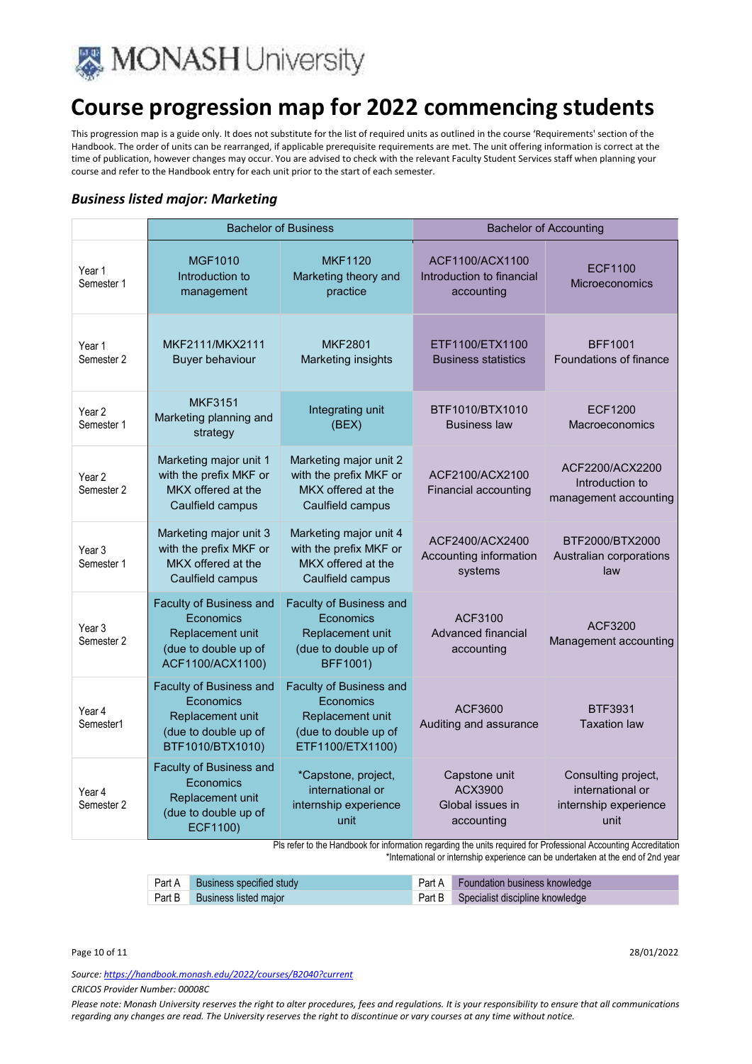

This progression map is a guide only. It does not substitute for the list of required units as outlined in the course 'Requirements' section of the Handbook. The order of units can be rearranged, if applicable prerequisite requirements are met. The unit offering information is correct at the time of publication, however changes may occur. You are advised to check with the relevant Faculty Student Services staff when planning your course and refer to the Handbook entry for each unit prior to the start of each semester.

#### *Business listed major: Marketing*

|                                 |                                                                                                      | <b>Bachelor of Business</b>                                                                          |                                                            | <b>Bachelor of Accounting</b>                                            |
|---------------------------------|------------------------------------------------------------------------------------------------------|------------------------------------------------------------------------------------------------------|------------------------------------------------------------|--------------------------------------------------------------------------|
| Year 1<br>Semester 1            | <b>MGF1010</b><br>Introduction to<br>management                                                      | <b>MKF1120</b><br>Marketing theory and<br>practice                                                   | ACF1100/ACX1100<br>Introduction to financial<br>accounting | <b>ECF1100</b><br><b>Microeconomics</b>                                  |
| Year 1<br>Semester 2            | MKF2111/MKX2111<br>Buyer behaviour                                                                   | <b>MKF2801</b><br><b>Marketing insights</b>                                                          | ETF1100/ETX1100<br><b>Business statistics</b>              | <b>BFF1001</b><br>Foundations of finance                                 |
| Year <sub>2</sub><br>Semester 1 | <b>MKF3151</b><br>Marketing planning and<br>strategy                                                 | Integrating unit<br>(BEX)                                                                            | BTF1010/BTX1010<br><b>Business law</b>                     | ECF1200<br>Macroeconomics                                                |
| Year <sub>2</sub><br>Semester 2 | Marketing major unit 1<br>with the prefix MKF or<br>MKX offered at the<br>Caulfield campus           | Marketing major unit 2<br>with the prefix MKF or<br>MKX offered at the<br>Caulfield campus           | ACF2100/ACX2100<br><b>Financial accounting</b>             | ACF2200/ACX2200<br>Introduction to<br>management accounting              |
| Year <sub>3</sub><br>Semester 1 | Marketing major unit 3<br>with the prefix MKF or<br>MKX offered at the<br>Caulfield campus           | Marketing major unit 4<br>with the prefix MKF or<br>MKX offered at the<br>Caulfield campus           | ACF2400/ACX2400<br>Accounting information<br>systems       | BTF2000/BTX2000<br>Australian corporations<br>law                        |
| Year 3<br>Semester 2            | Faculty of Business and<br>Economics<br>Replacement unit<br>(due to double up of<br>ACF1100/ACX1100) | Faculty of Business and<br>Economics<br>Replacement unit<br>(due to double up of<br>BFF1001)         | ACF3100<br>Advanced financial<br>accounting                | ACF3200<br>Management accounting                                         |
| Year 4<br>Semester1             | Faculty of Business and<br>Economics<br>Replacement unit<br>(due to double up of<br>BTF1010/BTX1010) | Faculty of Business and<br>Economics<br>Replacement unit<br>(due to double up of<br>ETF1100/ETX1100) | ACF3600<br>Auditing and assurance                          | BTF3931<br><b>Taxation law</b>                                           |
| Year 4<br>Semester 2            | Faculty of Business and<br>Economics<br>Replacement unit<br>(due to double up of<br>ECF1100)         | *Capstone, project,<br>international or<br>internship experience<br>unit                             | Capstone unit<br>ACX3900<br>Global issues in<br>accounting | Consulting project,<br>international or<br>internship experience<br>unit |

Pls refer to the Handbook for information regarding the units required for Professional Accounting Accreditation \*International or internship experience can be undertaken at the end of 2nd year

Part A Business specified study **Part A** Foundation business knowledge Part B Business listed major **Part B Specialist discipline knowledge** 

*Source: https://handbook.monash.edu/2022/courses/B2040?current*

*CRICOS Provider Number: 00008C*